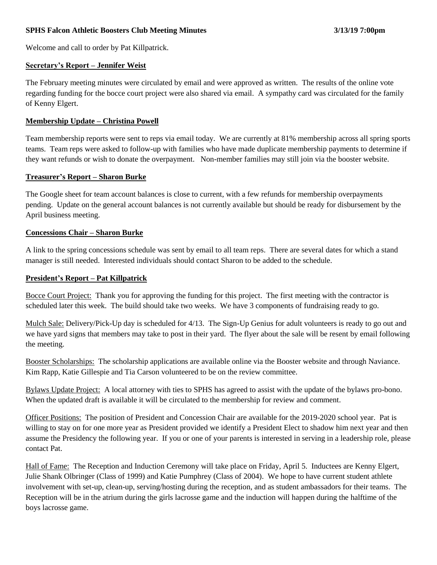### **SPHS Falcon Athletic Boosters Club Meeting Minutes 3/13/19 7:00pm**

Welcome and call to order by Pat Killpatrick.

### **Secretary's Report – Jennifer Weist**

The February meeting minutes were circulated by email and were approved as written. The results of the online vote regarding funding for the bocce court project were also shared via email. A sympathy card was circulated for the family of Kenny Elgert.

#### **Membership Update – Christina Powell**

Team membership reports were sent to reps via email today. We are currently at 81% membership across all spring sports teams. Team reps were asked to follow-up with families who have made duplicate membership payments to determine if they want refunds or wish to donate the overpayment. Non-member families may still join via the booster website.

#### **Treasurer's Report – Sharon Burke**

The Google sheet for team account balances is close to current, with a few refunds for membership overpayments pending. Update on the general account balances is not currently available but should be ready for disbursement by the April business meeting.

### **Concessions Chair – Sharon Burke**

A link to the spring concessions schedule was sent by email to all team reps. There are several dates for which a stand manager is still needed. Interested individuals should contact Sharon to be added to the schedule.

### **President's Report – Pat Killpatrick**

Bocce Court Project: Thank you for approving the funding for this project. The first meeting with the contractor is scheduled later this week. The build should take two weeks. We have 3 components of fundraising ready to go.

Mulch Sale: Delivery/Pick-Up day is scheduled for 4/13. The Sign-Up Genius for adult volunteers is ready to go out and we have yard signs that members may take to post in their yard. The flyer about the sale will be resent by email following the meeting.

Booster Scholarships: The scholarship applications are available online via the Booster website and through Naviance. Kim Rapp, Katie Gillespie and Tia Carson volunteered to be on the review committee.

Bylaws Update Project: A local attorney with ties to SPHS has agreed to assist with the update of the bylaws pro-bono. When the updated draft is available it will be circulated to the membership for review and comment.

Officer Positions: The position of President and Concession Chair are available for the 2019-2020 school year. Pat is willing to stay on for one more year as President provided we identify a President Elect to shadow him next year and then assume the Presidency the following year. If you or one of your parents is interested in serving in a leadership role, please contact Pat.

Hall of Fame: The Reception and Induction Ceremony will take place on Friday, April 5. Inductees are Kenny Elgert, Julie Shank Olbringer (Class of 1999) and Katie Pumphrey (Class of 2004). We hope to have current student athlete involvement with set-up, clean-up, serving/hosting during the reception, and as student ambassadors for their teams. The Reception will be in the atrium during the girls lacrosse game and the induction will happen during the halftime of the boys lacrosse game.